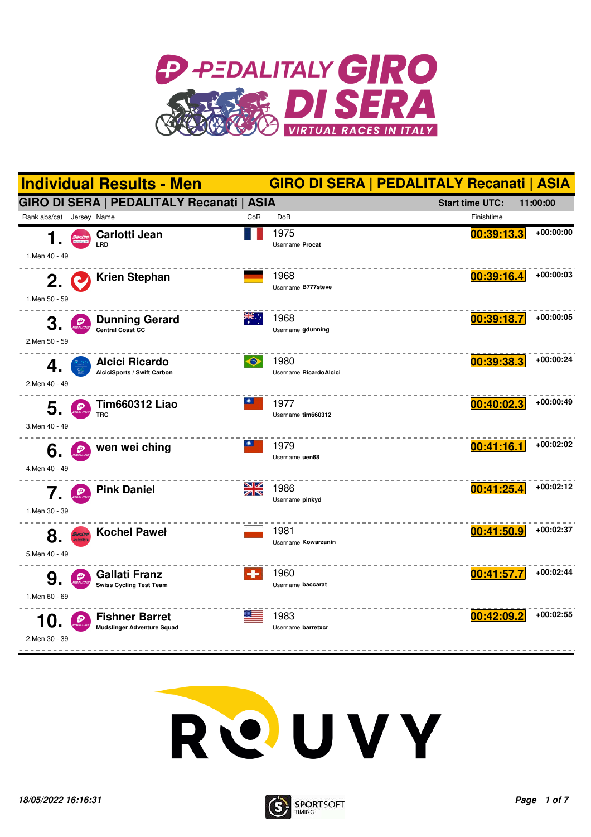





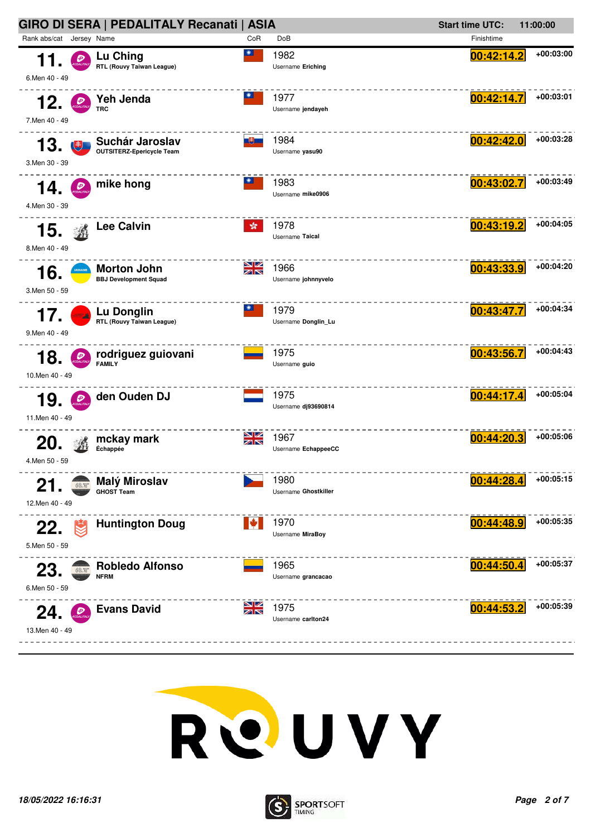



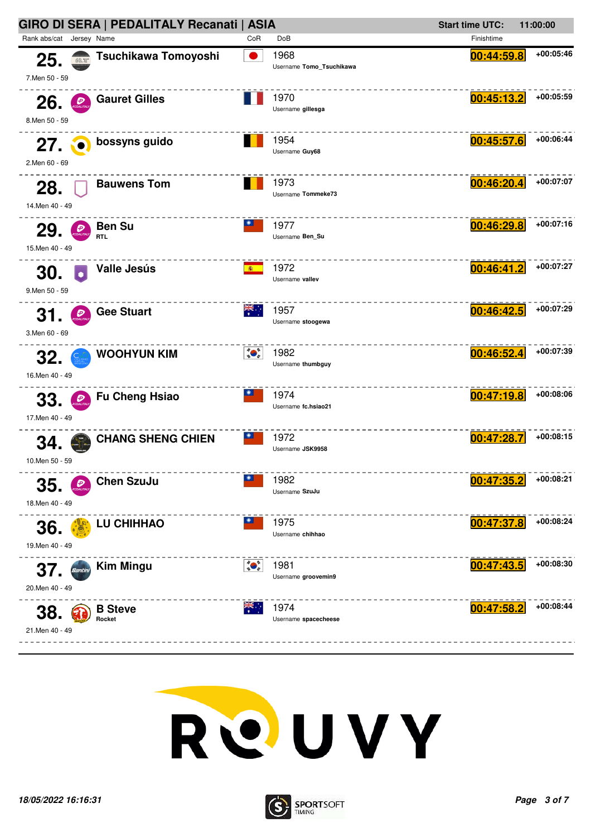



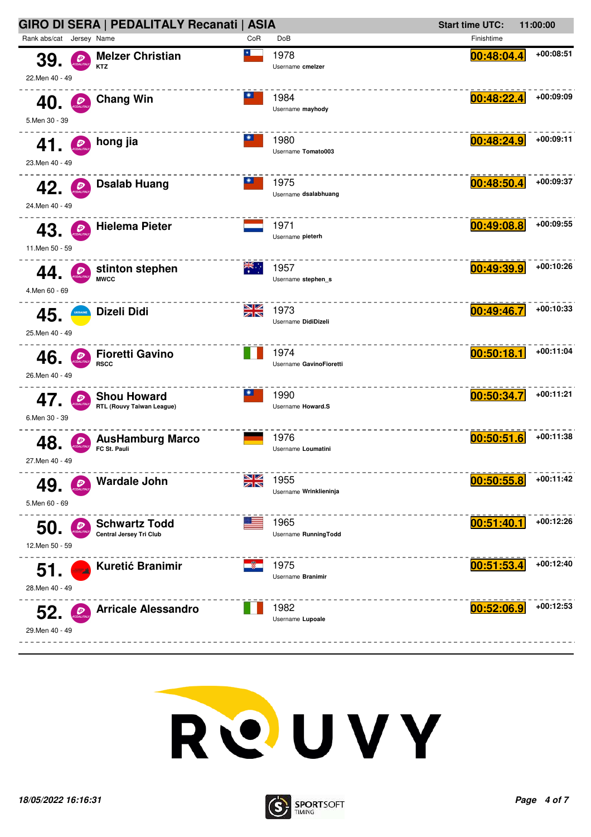



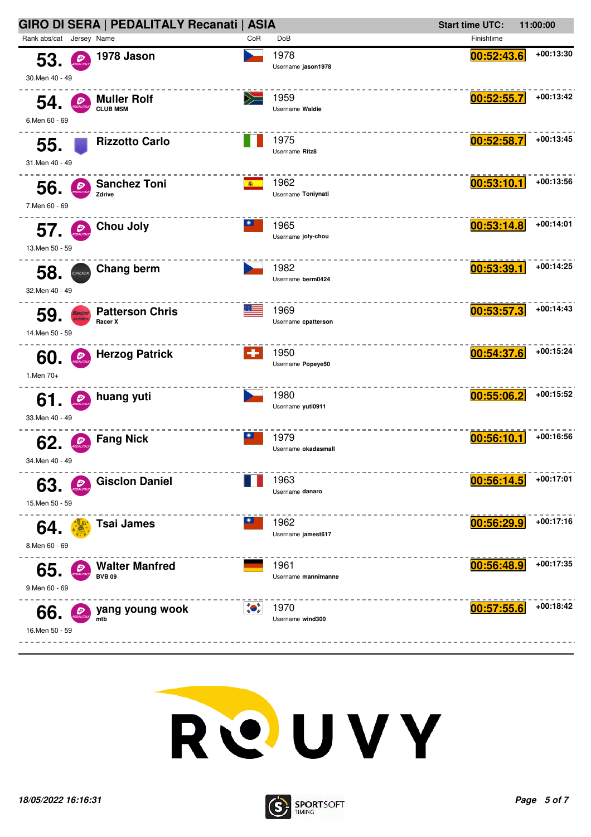



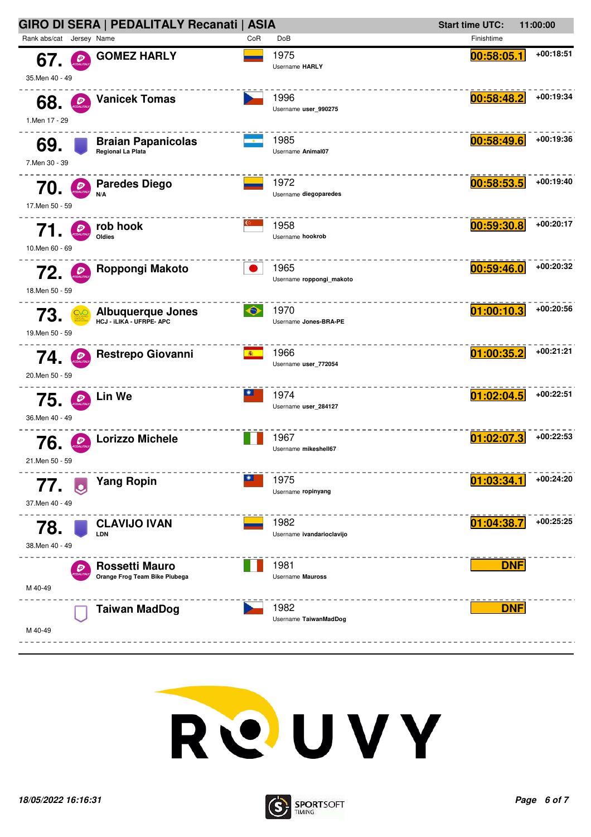